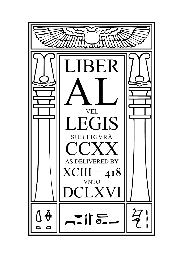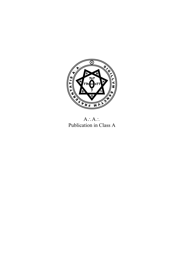

A∴A∴ Publication in Class A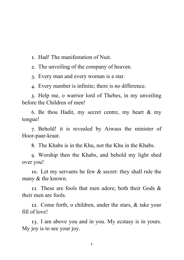- 1. Had! The manifestation of Nuit.
- 2. The unveiling of the company of heaven.
- 3. Every man and every woman is a star.
- 4. Every number is infinite; there is no difference.

5. Help me, o warrior lord of Thebes, in my unveiling before the Children of men!

6. Be thou Hadit, my secret centre, my heart & my tongue!

7. Behold! it is revealed by Aiwass the minister of Hoor-paar-kraat.

8. The Khabs is in the Khu, not the Khu in the Khabs.

9. Worship then the Khabs, and behold my light shed over you!

10. Let my servants be few & secret: they shall rule the many & the known.

11. These are fools that men adore; both their Gods  $\&$ their men are fools.

12. Come forth, o children, under the stars, & take your fill of love!

13. I am above you and in you. My ecstasy is in yours. My joy is to see your joy.

1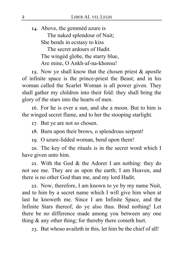14. Above, the gemmed azure is The naked splendour of Nuit; She bends in ecstasy to kiss The secret ardours of Hadit. The winged globe, the starry blue, Are mine, O Ankh-af-na-khonsu!

15. Now ye shall know that the chosen priest & apostle of infinite space is the prince-priest the Beast; and in his woman called the Scarlet Woman is all power given. They shall gather my children into their fold: they shall bring the glory of the stars into the hearts of men.

16. For he is ever a sun, and she a moon. But to him is the winged secret flame, and to her the stooping starlight.

17. But ye are not so chosen.

18. Burn upon their brows, o splendrous serpent!

19. O azure-lidded woman, bend upon them!

20. The key of the rituals is in the secret word which I have given unto him.

21. With the God & the Adorer I am nothing: they do not see me. They are as upon the earth; I am Heaven, and there is no other God than me, and my lord Hadit.

22. Now, therefore, I am known to ye by my name Nuit, and to him by a secret name which I will give him when at last he knoweth me. Since I am Infinite Space, and the Infinite Stars thereof, do ye also thus. Bind nothing! Let there be no difference made among you between any one thing & any other thing; for thereby there cometh hurt.

23. But whoso availeth in this, let him be the chief of all!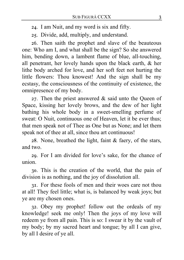24. I am Nuit, and my word is six and fifty.

25. Divide, add, multiply, and understand.

26. Then saith the prophet and slave of the beauteous one: Who am I, and what shall be the sign? So she answered him, bending down, a lambent flame of blue, all-touching, all penetrant, her lovely hands upon the black earth, & her lithe body arched for love, and her soft feet not hurting the little flowers: Thou knowest! And the sign shall be my ecstasy, the consciousness of the continuity of existence, the omnipresence of my body.

27. Then the priest answered & said unto the Queen of Space, kissing her lovely brows, and the dew of her light bathing his whole body in a sweet-smelling perfume of sweat: O Nuit, continuous one of Heaven, let it be ever thus; that men speak not of Thee as One but as None; and let them speak not of thee at all, since thou art continuous!

28. None, breathed the light, faint & faery, of the stars, and two.

29. For I am divided for love's sake, for the chance of union.

30. This is the creation of the world, that the pain of division is as nothing, and the joy of dissolution all.

31. For these fools of men and their woes care not thou at all! They feel little; what is, is balanced by weak joys; but ye are my chosen ones.

32. Obey my prophet! follow out the ordeals of my knowledge! seek me only! Then the joys of my love will redeem ye from all pain. This is so: I swear it by the vault of my body; by my sacred heart and tongue; by all I can give, by all I desire of ye all.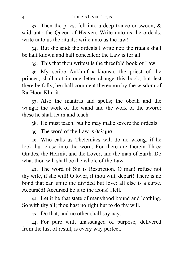33. Then the priest fell into a deep trance or swoon, & said unto the Queen of Heaven; Write unto us the ordeals; write unto us the rituals; write unto us the law!

34. But she said: the ordeals I write not: the rituals shall be half known and half concealed: the Law is for all.

35. This that thou writest is the threefold book of Law.

36. My scribe Ankh-af-na-khonsu, the priest of the princes, shall not in one letter change this book; but lest there be folly, he shall comment thereupon by the wisdom of Ra-Hoor-Khu-it.

37. Also the mantras and spells; the obeah and the wanga; the work of the wand and the work of the sword; these he shall learn and teach.

38. He must teach; but he may make severe the ordeals.

39. The word of the Law is θελημα.

40. Who calls us Thelemites will do no wrong, if he look but close into the word. For there are therein Three Grades, the Hermit, and the Lover, and the man of Earth. Do what thou wilt shall be the whole of the Law.

41. The word of Sin is Restriction. O man! refuse not thy wife, if she will! O lover, if thou wilt, depart! There is no bond that can unite the divided but love: all else is a curse. Accurséd! Accurséd be it to the <u>recons!</u> Hell.

42. Let it be that state of manyhood bound and loathing. So with thy all; thou hast no right but to do thy will.

43. Do that, and no other shall say nay.

44. For pure will, unassuaged of purpose, delivered from the lust of result, is every way perfect.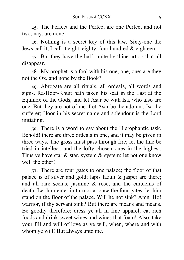45. The Perfect and the Perfect are one Perfect and not two; nay, are none!

46. Nothing is a secret key of this law. Sixty-one the Jews call it; I call it eight, eighty, four hundred & eighteen.

47. But they have the half: unite by thine art so that all disappear.

48. My prophet is a fool with his one, one, one; are they not the Ox, and none by the Book?

49. Abrogate are all rituals, all ordeals, all words and signs. Ra-Hoor-Khuit hath taken his seat in the East at the Equinox of the Gods; and let Asar be with Isa, who also are one. But they are not of me. Let Asar be the adorant, Isa the sufferer; Hoor in his secret name and splendour is the Lord initiating.

50. There is a word to say about the Hierophantic task. Behold! there are three ordeals in one, and it may be given in three ways. The gross must pass through fire; let the fine be tried in intellect, and the lofty chosen ones in the highest. Thus ye have star  $\&$  star, system  $\&$  system; let not one know well the other!

51. There are four gates to one palace; the floor of that palace is of silver and gold; lapis lazuli & jasper are there; and all rare scents; jasmine & rose, and the emblems of death. Let him enter in turn or at once the four gates; let him stand on the floor of the palace. Will he not sink? Amn. Ho! warrior, if thy servant sink? But there are means and means. Be goodly therefore: dress ye all in fine apparel; eat rich foods and drink sweet wines and wines that foam! Also, take your fill and will of love as ye will, when, where and with whom ye will! But always unto me.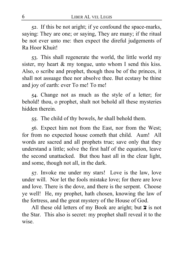52. If this be not aright; if ye confound the space-marks, saying: They are one; or saying, They are many; if the ritual be not ever unto me: then expect the direful judgements of Ra Hoor Khuit!

53. This shall regenerate the world, the little world my sister, my heart & my tongue, unto whom I send this kiss. Also, o scribe and prophet, though thou be of the princes, it shall not assuage thee nor absolve thee. But ecstasy be thine and joy of earth: ever To me! To me!

54. Change not as much as the style of a letter; for behold! thou, o prophet, shalt not behold all these mysteries hidden therein.

55. The child of thy bowels, *he* shall behold them.

56. Expect him not from the East, nor from the West; for from no expected house cometh that child. Aum! All words are sacred and all prophets true; save only that they understand a little; solve the first half of the equation, leave the second unattacked. But thou hast all in the clear light, and some, though not all, in the dark.

57. Invoke me under my stars! Love is the law, love under will. Nor let the fools mistake love; for there are love and love. There is the dove, and there is the serpent. Choose ye well! He, my prophet, hath chosen, knowing the law of the fortress, and the great mystery of the House of God.

All these old letters of my Book are aright; but  $\ddot{\mathbf{x}}$  is not the Star. This also is secret: my prophet shall reveal it to the wise.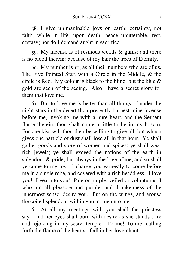58. I give unimaginable joys on earth: certainty, not faith, while in life, upon death; peace unutterable, rest, ecstasy; nor do I demand aught in sacrifice.

59. My incense is of resinous woods  $\&$  gums; and there is no blood therein: because of my hair the trees of Eternity.

60. My number is 11, as all their numbers who are of us. The Five Pointed Star, with a Circle in the Middle, & the circle is Red. My colour is black to the blind, but the blue & gold are seen of the seeing. Also I have a secret glory for them that love me.

61. But to love me is better than all things: if under the night-stars in the desert thou presently burnest mine incense before me, invoking me with a pure heart, and the Serpent flame therein, thou shalt come a little to lie in my bosom. For one kiss wilt thou then be willing to give all; but whoso gives one particle of dust shall lose all in that hour. Ye shall gather goods and store of women and spices; ye shall wear rich jewels; ye shall exceed the nations of the earth in splendour & pride; but always in the love of me, and so shall ye come to my joy. I charge you earnestly to come before me in a single robe, and covered with a rich headdress. I love you! I yearn to you! Pale or purple, veiled or voluptuous, I who am all pleasure and purple, and drunkenness of the innermost sense, desire you. Put on the wings, and arouse the coiled splendour within you: come unto me!

62. At all my meetings with you shall the priestess say—and her eyes shall burn with desire as she stands bare and rejoicing in my secret temple—To me! To me! calling forth the flame of the hearts of all in her love-chant.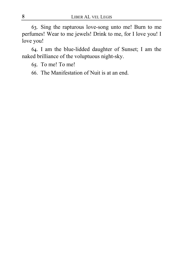63. Sing the rapturous love-song unto me! Burn to me perfumes! Wear to me jewels! Drink to me, for I love you! I love you!

64. I am the blue-lidded daughter of Sunset; I am the naked brilliance of the voluptuous night-sky.

65. To me! To me!

66. The Manifestation of Nuit is at an end.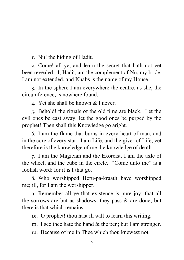1. Nu! the hiding of Hadit.

2. Come! all ye, and learn the secret that hath not yet been revealed. I, Hadit, am the complement of Nu, my bride. I am not extended, and Khabs is the name of my House.

3. In the sphere I am everywhere the centre, as she, the circumference, is nowhere found.

4. Yet she shall be known & I never.

5. Behold! the rituals of the old time are black. Let the evil ones be cast away; let the good ones be purged by the prophet! Then shall this Knowledge go aright.

6. I am the flame that burns in every heart of man, and in the core of every star. I am Life, and the giver of Life, yet therefore is the knowledge of me the knowledge of death.

7. I am the Magician and the Exorcist. I am the axle of the wheel, and the cube in the circle. "Come unto me" is a foolish word: for it is I that go.

8. Who worshipped Heru-pa-kraath have worshipped me; ill, for I am the worshipper.

9. Remember all ye that existence is pure joy; that all the sorrows are but as shadows; they pass & are done; but there is that which remains.

10. O prophet! thou hast ill will to learn this writing.

11. I see thee hate the hand  $&$  the pen; but I am stronger.

12. Because of me in Thee which thou knewest not.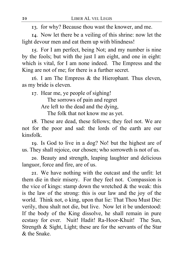13. for why? Because thou wast the knower, and me.

14. Now let there be a veiling of this shrine: now let the light devour men and eat them up with blindness!

15. For I am perfect, being Not; and my number is nine by the fools; but with the just I am eight, and one in eight: which is vital, for I am none indeed. The Empress and the King are not of me; for there is a further secret.

16. I am The Empress & the Hierophant. Thus eleven, as my bride is eleven.

17. Hear me, ye people of sighing!

The sorrows of pain and regret

Are left to the dead and the dying,

The folk that not know me as yet.

18. These are dead, these fellows; they feel not. We are not for the poor and sad: the lords of the earth are our kinsfolk.

19. Is God to live in a dog? No! but the highest are of us. They shall rejoice, our chosen; who sorroweth is not of us.

20. Beauty and strength, leaping laughter and delicious languor, force and fire, are of us.

21. We have nothing with the outcast and the unfit: let them die in their misery. For they feel not. Compassion is the vice of kings: stamp down the wretched  $\&$  the weak: this is the law of the strong: this is our law and the joy of the world. Think not, o king, upon that lie: That Thou Must Die: verily, thou shalt not die, but live. Now let it be understood: If the body of the King dissolve, he shall remain in pure ecstasy for ever. Nuit! Hadit! Ra-Hoor-Khuit! The Sun, Strength & Sight, Light; these are for the servants of the Star & the Snake.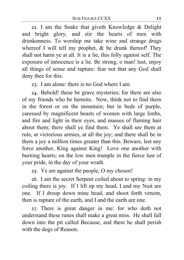22. I am the Snake that giveth Knowledge & Delight and bright glory, and stir the hearts of men with drunkenness. To worship me take wine and strange drugs whereof I will tell my prophet,  $\&$  be drunk thereof! They shall not harm ye at all. It is a lie, this folly against self. The exposure of innocence is a lie. Be strong, o man! lust, enjoy all things of sense and rapture: fear not that any God shall deny thee for this.

23. I am alone: there is no God where I am.

24. Behold! these be grave mysteries; for there are also of my friends who be hermits. Now, think not to find them in the forest or on the mountain; but in beds of purple, caressed by magnificent beasts of women with large limbs, and fire and light in their eyes, and masses of flaming hair about them; there shall ye find them. Ye shall see them at rule, at victorious armies, at all the joy; and there shall be in them a joy a million times greater than this. Beware, lest any force another, King against King! Love one another with burning hearts; on the low men trample in the fierce lust of your pride, in the day of your wrath.

25. Ye are against the people, O my chosen!

26. I am the secret Serpent coiled about to spring: in my coiling there is joy. If I lift up my head, I and my Nuit are one. If I droop down mine head, and shoot forth venom, then is rapture of the earth, and I and the earth are one.

27. There is great danger in me; for who doth not understand these runes shall make a great miss. He shall fall down into the pit called Because, and there he shall perish with the dogs of Reason.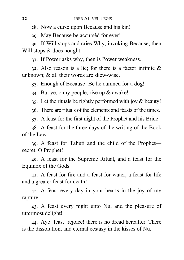28. Now a curse upon Because and his kin!

20. May Because be accursed for ever!

30. If Will stops and cries Why, invoking Because, then Will stops & does nought.

31. If Power asks why, then is Power weakness.

32. Also reason is a lie; for there is a factor infinite & unknown; & all their words are skew-wise.

33. Enough of Because! Be he damned for a dog!

34. But ye, o my people, rise up & awake!

35. Let the rituals be rightly performed with joy & beauty!

36. There are rituals of the elements and feasts of the times.

37. A feast for the first night of the Prophet and his Bride!

38. A feast for the three days of the writing of the Book of the Law.

 $39.$  A feast for Tahuti and the child of the Prophet secret, O Prophet!

40. A feast for the Supreme Ritual, and a feast for the Equinox of the Gods.

41. A feast for fire and a feast for water; a feast for life and a greater feast for death!

42. A feast every day in your hearts in the joy of my rapture!

43. A feast every night unto Nu, and the pleasure of uttermost delight!

44. Aye! feast! rejoice! there is no dread hereafter. There is the dissolution, and eternal ecstasy in the kisses of Nu.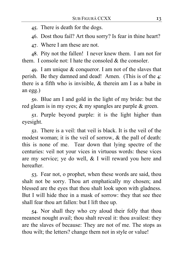45. There is death for the dogs.

46. Dost thou fail? Art thou sorry? Is fear in thine heart?

47. Where I am these are not.

48. Pity not the fallen! I never knew them. I am not for them. I console not: I hate the consoled & the consoler.

49. I am unique & conqueror. I am not of the slaves that perish. Be they damned and dead! Amen. (This is of the 4: there is a fifth who is invisible, & therein am I as a babe in an egg.)

50. Blue am I and gold in the light of my bride: but the red gleam is in my eyes; & my spangles are purple & green.

51. Purple beyond purple: it is the light higher than eyesight.

52. There is a veil: that veil is black. It is the veil of the modest woman; it is the veil of sorrow, & the pall of death: this is none of me. Tear down that lying spectre of the centuries: veil not your vices in virtuous words: these vices are my service; ye do well, & I will reward you here and hereafter.

53. Fear not, o prophet, when these words are said, thou shalt not be sorry. Thou art emphatically my chosen; and blessed are the eyes that thou shalt look upon with gladness. But I will hide thee in a mask of sorrow: they that see thee shall fear thou art fallen: but I lift thee up.

54. Nor shall they who cry aloud their folly that thou meanest nought avail; thou shalt reveal it: thou availest: they are the slaves of because: They are not of me. The stops as thou wilt; the letters? change them not in style or value!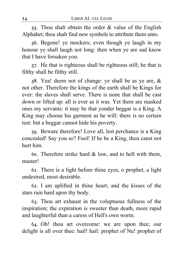55. Thou shalt obtain the order & value of the English Alphabet; thou shalt find new symbols to attribute them unto.

56. Begone! ye mockers; even though ye laugh in my honour ye shall laugh not long: then when ye are sad know that I have forsaken you.

57. He that is righteous shall be righteous still; he that is filthy shall be filthy still.

58. Yea! deem not of change: ye shall be as ye are, & not other. Therefore the kings of the earth shall be Kings for ever: the slaves shall serve. There is none that shall be cast down or lifted up: all is ever as it was. Yet there are masked ones my servants: it may be that yonder beggar is a King. A King may choose his garment as he will: there is no certain test: but a beggar cannot hide his poverty.

59. Beware therefore! Love all, lest perchance is a King concealed! Say you so? Fool! If he be a King, thou canst not hurt him.

60. Therefore strike hard  $&$  low, and to hell with them, master!

61. There is a light before thine eyes, o prophet, a light undesired, most desirable.

62. I am uplifted in thine heart; and the kisses of the stars rain hard upon thy body.

63. Thou art exhaust in the voluptuous fullness of the inspiration; the expiration is sweeter than death, more rapid and laughterful than a caress of Hell's own worm.

64. Oh! thou art overcome: we are upon thee; our delight is all over thee: hail! hail: prophet of Nu! prophet of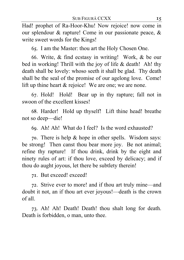Had! prophet of Ra-Hoor-Khu! Now rejoice! now come in our splendour & rapture! Come in our passionate peace, & write sweet words for the Kings!

65. I am the Master: thou art the Holy Chosen One.

66. Write, & find ecstasy in writing! Work, & be our bed in working! Thrill with the joy of life & death! Ah! thy death shall be lovely: whoso seeth it shall be glad. Thy death shall be the seal of the promise of our agelong love. Come! lift up thine heart & rejoice! We are one; we are none.

67. Hold! Hold! Bear up in thy rapture; fall not in swoon of the excellent kisses!

68. Harder! Hold up thyself! Lift thine head! breathe not so deep—die!

69. Ah! Ah! What do I feel? Is the word exhausted?

70. There is help & hope in other spells. Wisdom says: be strong! Then canst thou bear more joy. Be not animal; refine thy rapture! If thou drink, drink by the eight and ninety rules of art: if thou love, exceed by delicacy; and if thou do aught joyous, let there be subtlety therein!

71. But exceed! exceed!

72. Strive ever to more! and if thou art truly mine—and doubt it not, an if thou art ever joyous!—death is the crown of all.

73. Ah! Ah! Death! Death! thou shalt long for death. Death is forbidden, o man, unto thee.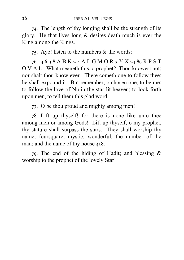74. The length of thy longing shall be the strength of its glory. He that lives long & desires death much is ever the King among the Kings.

75. Aye! listen to the numbers & the words:

76. 4 6 3 8 A B K 2 4 A L G M O R 3 Y X 24 89 R P S T O V A L. What meaneth this, o prophet? Thou knowest not; nor shalt thou know ever. There cometh one to follow thee: he shall expound it. But remember, o chosen one, to be me; to follow the love of Nu in the star-lit heaven; to look forth upon men, to tell them this glad word.

77. O be thou proud and mighty among men!

78. Lift up thyself! for there is none like unto thee among men or among Gods! Lift up thyself, o my prophet, thy stature shall surpass the stars. They shall worship thy name, foursquare, mystic, wonderful, the number of the man; and the name of thy house 418.

79. The end of the hiding of Hadit; and blessing & worship to the prophet of the lovely Star!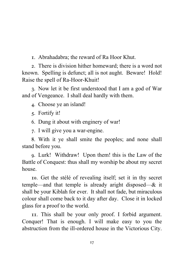1. Abrahadabra; the reward of Ra Hoor Khut.

2. There is division hither homeward; there is a word not known. Spelling is defunct; all is not aught. Beware! Hold! Raise the spell of Ra-Hoor-Khuit!

3. Now let it be first understood that I am a god of War and of Vengeance. I shall deal hardly with them.

4. Choose ye an island!

5. Fortify it!

6. Dung it about with enginery of war!

7. I will give you a war-engine.

8. With it ye shall smite the peoples; and none shall stand before you.

9. Lurk! Withdraw! Upon them! this is the Law of the Battle of Conquest: thus shall my worship be about my secret house.

10. Get the stÈlÈ of revealing itself; set it in thy secret temple—and that temple is already aright disposed— $\&$  it shall be your Kiblah for ever. It shall not fade, but miraculous colour shall come back to it day after day. Close it in locked glass for a proof to the world.

11. This shall be your only proof. I forbid argument. Conquer! That is enough. I will make easy to you the abstruction from the ill-ordered house in the Victorious City.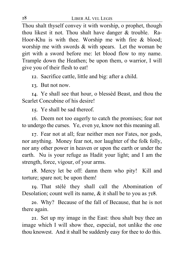Thou shalt thyself convey it with worship, o prophet, though thou likest it not. Thou shalt have danger & trouble. Ra-Hoor-Khu is with thee. Worship me with fire & blood; worship me with swords & with spears. Let the woman be girt with a sword before me: let blood flow to my name. Trample down the Heathen; be upon them, o warrior, I will give you of their flesh to eat!

12. Sacrifice cattle, little and big: after a child.

13. But not now.

14. Ye shall see that hour, o blessed Beast, and thou the Scarlet Concubine of his desire!

15. Ye shall be sad thereof.

16. Deem not too eagerly to catch the promises; fear not to undergo the curses. Ye, even ye, know not this meaning all.

17. Fear not at all; fear neither men nor Fates, nor gods, nor anything. Money fear not, nor laughter of the folk folly, nor any other power in heaven or upon the earth or under the earth. Nu is your refuge as Hadit your light; and I am the strength, force, vigour, of your arms.

18. Mercy let be off: damn them who pity! Kill and torture; spare not; be upon them!

19. That stÈlÈ they shall call the Abomination of Desolation; count well its name,  $\&$  it shall be to you as  $718$ .

20. Why? Because of the fall of Because, that he is not there again.

21. Set up my image in the East: thou shalt buy thee an image which I will show thee, especial, not unlike the one thou knowest. And it shall be suddenly easy for thee to do this.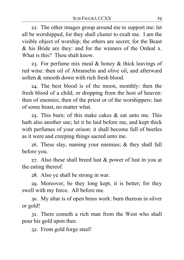22. The other images group around me to support me: let all be worshipped, for they shall cluster to exalt me. I am the visible object of worship; the others are secret; for the Beast & his Bride are they: and for the winners of the Ordeal x. What is this? Thou shalt know

23. For perfume mix meal & honey & thick leavings of red wine: then oil of Abramelin and olive oil, and afterward soften & smooth down with rich fresh blood.

24. The best blood is of the moon, monthly: then the fresh blood of a child, or dropping from the host of heaven: then of enemies; then of the priest or of the worshippers: last of some beast, no matter what.

25. This burn: of this make cakes & eat unto me. This hath also another use; let it be laid before me, and kept thick with perfumes of your orison: it shall become full of beetles as it were and creeping things sacred unto me.

26. These slay, naming your enemies; & they shall fall before you.

27. Also these shall breed lust & power of lust in you at the eating thereof.

28. Also ye shall be strong in war.

29. Moreover, be they long kept, it is better; for they swell with my force. All before me.

30. My altar is of open brass work: burn thereon in silver or gold!

31. There cometh a rich man from the West who shall pour his gold upon thee.

32. From gold forge steel!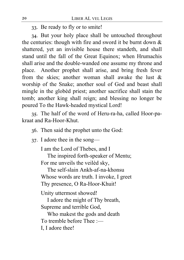33. Be ready to fly or to smite!

34. But your holy place shall be untouched throughout the centuries: though with fire and sword it be burnt down & shattered, yet an invisible house there standeth, and shall stand until the fall of the Great Equinox; when Hrumachis shall arise and the double-wanded one assume my throne and place. Another prophet shall arise, and bring fresh fever from the skies; another woman shall awake the lust  $\&$ worship of the Snake; another soul of God and beast shall mingle in the globed priest; another sacrifice shall stain the tomb; another king shall reign; and blessing no longer be poured To the Hawk-headed mystical Lord!

35. The half of the word of Heru-ra-ha, called Hoor-pakraat and Ra-Hoor-Khut.

36. Then said the prophet unto the God:

 $37.$  I adore thee in the song—

I am the Lord of Thebes, and I

The inspired forth-speaker of Mentu; For me unveils the veiled sky,

The self-slain Ankh-af-na-khonsu Whose words are truth. I invoke, I greet Thy presence, O Ra-Hoor-Khuit!

Unity uttermost showed!

 I adore the might of Thy breath, Supreme and terrible God,

 Who makest the gods and death To tremble before Thee  $:=$ I, I adore thee!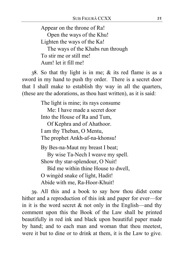Appear on the throne of Ra! Open the ways of the Khu! Lighten the ways of the Ka! The ways of the Khabs run through To stir me or still me! Aum! let it fill me!

38. So that thy light is in me; & its red flame is as a sword in my hand to push thy order. There is a secret door that I shall make to establish thy way in all the quarters, (these are the adorations, as thou hast written), as it is said:

The light is mine; its rays consume

Me: I have made a secret door

Into the House of Ra and Tum,

Of Kephra and of Ahathoor.

I am thy Theban, O Mentu,

The prophet Ankh-af-na-khonsu!

By Bes-na-Maut my breast I beat;

By wise Ta-Nech I weave my spell. Show thy star-splendour, O Nuit!

Bid me within thine House to dwell,

O winged snake of light, Hadit! Abide with me, Ra-Hoor-Khuit!

39. All this and a book to say how thou didst come hither and a reproduction of this ink and paper for ever—for in it is the word secret  $\&$  not only in the English—and thy comment upon this the Book of the Law shall be printed beautifully in red ink and black upon beautiful paper made by hand; and to each man and woman that thou meetest, were it but to dine or to drink at them, it is the Law to give.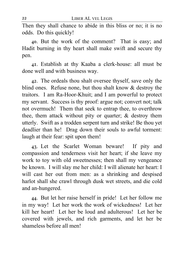Then they shall chance to abide in this bliss or no; it is no odds. Do this quickly!

40. But the work of the comment? That is easy; and Hadit burning in thy heart shall make swift and secure thy pen.

41. Establish at thy Kaaba a clerk-house: all must be done well and with business way.

42. The ordeals thou shalt oversee thyself, save only the blind ones. Refuse none, but thou shalt know & destroy the traitors. I am Ra-Hoor-Khuit; and I am powerful to protect my servant. Success is thy proof: argue not; convert not; talk not overmuch! Them that seek to entrap thee, to overthrow thee, them attack without pity or quarter; & destroy them utterly. Swift as a trodden serpent turn and strike! Be thou yet deadlier than he! Drag down their souls to awful torment: laugh at their fear: spit upon them!

43. Let the Scarlet Woman beware! If pity and compassion and tenderness visit her heart; if she leave my work to toy with old sweetnesses; then shall my vengeance be known. I will slay me her child: I will alienate her heart: I will cast her out from men: as a shrinking and despised harlot shall she crawl through dusk wet streets, and die cold and an-hungered.

44. But let her raise herself in pride! Let her follow me in my way! Let her work the work of wickedness! Let her kill her heart! Let her be loud and adulterous! Let her be covered with jewels, and rich garments, and let her be shameless before all men!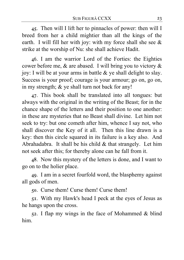45. Then will I lift her to pinnacles of power: then will I breed from her a child mightier than all the kings of the earth. I will fill her with joy: with my force shall she see  $\&$ strike at the worship of Nu: she shall achieve Hadit.

46. I am the warrior Lord of the Forties: the Eighties cower before me, & are abased. I will bring you to victory & joy: I will be at your arms in battle & ye shall delight to slay. Success is your proof; courage is your armour; go on, go on, in my strength; & ye shall turn not back for any!

47. This book shall be translated into all tongues: but always with the original in the writing of the Beast; for in the chance shape of the letters and their position to one another: in these are mysteries that no Beast shall divine. Let him not seek to try: but one cometh after him, whence I say not, who shall discover the Key of it all. Then this line drawn is a key: then this circle squared in its failure is a key also. And Abrahadabra. It shall be his child  $&$  that strangely. Let him not seek after this; for thereby alone can he fall from it.

48. Now this mystery of the letters is done, and I want to go on to the holier place.

49. I am in a secret fourfold word, the blasphemy against all gods of men.

50. Curse them! Curse them! Curse them!

51. With my Hawk's head I peck at the eyes of Jesus as he hangs upon the cross.

52. I flap my wings in the face of Mohammed & blind him.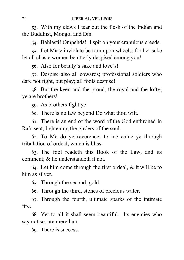. With my claws I tear out the flesh of the Indian and the Buddhist, Mongol and Din.

. Bahlasti! Ompehda! I spit on your crapulous creeds.

. Let Mary inviolate be torn upon wheels: for her sake let all chaste women be utterly despised among you!

56. Also for beauty's sake and love's!

. Despise also all cowards; professional soldiers who dare not fight, but play; all fools despise!

. But the keen and the proud, the royal and the lofty; ye are brothers!

. As brothers fight ye!

. There is no law beyond Do what thou wilt.

. There is an end of the word of the God enthroned in Ra's seat, lightening the girders of the soul.

. To Me do ye reverence! to me come ye through tribulation of ordeal, which is bliss.

. The fool readeth this Book of the Law, and its comment; & he understandeth it not.

. Let him come through the first ordeal, & it will be to him as silver.

. Through the second, gold.

. Through the third, stones of precious water.

. Through the fourth, ultimate sparks of the intimate fire.

. Yet to all it shall seem beautiful. Its enemies who say not so, are mere liars.

. There is success.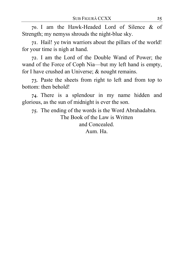70. I am the Hawk-Headed Lord of Silence & of Strength; my nemyss shrouds the night-blue sky.

71. Hail! ye twin warriors about the pillars of the world! for your time is nigh at hand.

72. I am the Lord of the Double Wand of Power; the wand of the Force of Coph Nia—but my left hand is empty, for I have crushed an Universe; & nought remains.

73. Paste the sheets from right to left and from top to bottom: then behold!

74. There is a splendour in my name hidden and glorious, as the sun of midnight is ever the son.

75. The ending of the words is the Word Abrahadabra. The Book of the Law is Written and Concealed. Aum. Ha.